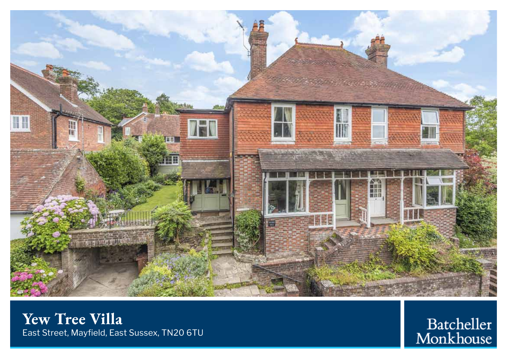

**Yew Tree Villa** East Street, Mayfield, East Sussex, TN20 6TU

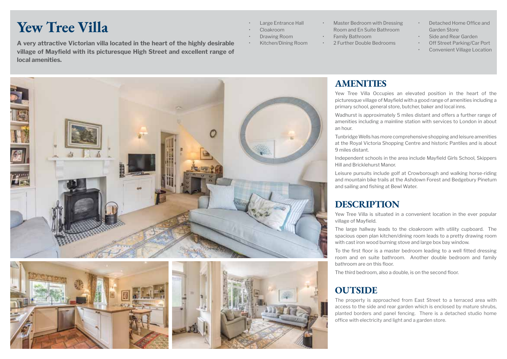# **Yew Tree Villa**

**A very attractive Victorian villa located in the heart of the highly desirable • Kitchen/Dining Room village of Mayfield with its picturesque High Street and excellent range of local amenities.**

- Large Entrance Hall
- Cloakroom
	- Drawing Room
		-
- Master Bedroom with Dressing Room and En Suite Bathroom
- Family Bathroom
- 2 Further Double Bedrooms
- Detached Home Office and Garden Store
- Side and Rear Garden • Off Street Parking/Car Port
- Convenient Village Location





picturesque village of Mayfield with a good range of amenities including a primary school, general store, butcher, baker and local inns.

Wadhurst is approximately 5 miles distant and offers a further range of amenities including a mainline station with services to London in about an hour.

Tunbridge Wells has more comprehensive shopping and leisure amenities at the Royal Victoria Shopping Centre and historic Pantiles and is about 9 miles distant.

Independent schools in the area include Mayfield Girls School, Skippers Hill and Bricklehurst Manor.

Leisure pursuits include golf at Crowborough and walking horse-riding and mountain bike trails at the Ashdown Forest and Bedgebury Pinetum and sailing and fishing at Bewl Water.

### **DESCRIPTION**

Yew Tree Villa is situated in a convenient location in the ever popular village of Mayfield.

The large hallway leads to the cloakroom with utility cupboard. The spacious open plan kitchen/dining room leads to a pretty drawing room with cast iron wood burning stove and large box bay window.

To the first floor is a master bedroom leading to a well fitted dressing room and en suite bathroom. Another double bedroom and family bathroom are on this floor.

The third bedroom, also a double, is on the second floor.

### **OUTSIDE**

The property is approached from East Street to a terraced area with access to the side and rear garden which is enclosed by mature shrubs, planted borders and panel fencing. There is a detached studio home office with electricity and light and a garden store.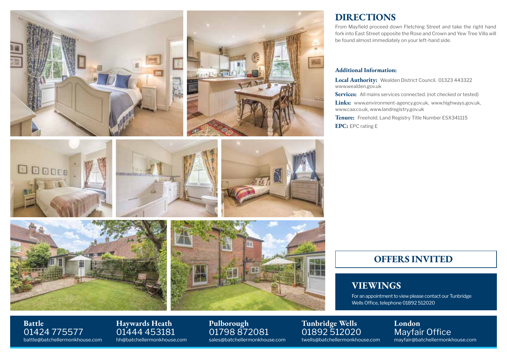

### **DIRECTIONS**

From Mayfield proceed down Fletching Street and take the right hand fork into East Street opposite the Rose and Crown and Yew Tree Villa will be found almost immediately on your left-hand side.

#### **Additional Information:**

**Local Authority:** Wealden District Council. 01323 443322 www.wealden.gov.uk

**Services:** All mains services connected. (not checked or tested)

**Links:** www.environment-agency.gov.uk, www.highways.gov.uk, www.caa.co.uk, www.landregistry.gov.uk

**Tenure:** Freehold. Land Registry Title Number ESX341115 **EPC:** EPC rating E

### **OFFERS INVITED**

### **VIEWINGS**

For an appointment to view please contact our Tunbridge Wells Office, telephone 01892 512020

> **London** Mayfair Office mayfair@batchellermonkhouse.com

01424 775577 **Haywards Heath**

battle@batchellermonkhouse.com

01444 453181 hh@batchellermonkhouse.com **Pulborough** 01798 872081 sales@batchellermonkhouse.com

**Tunbridge Wells** 01892 512020 twells@batchellermonkhouse.com